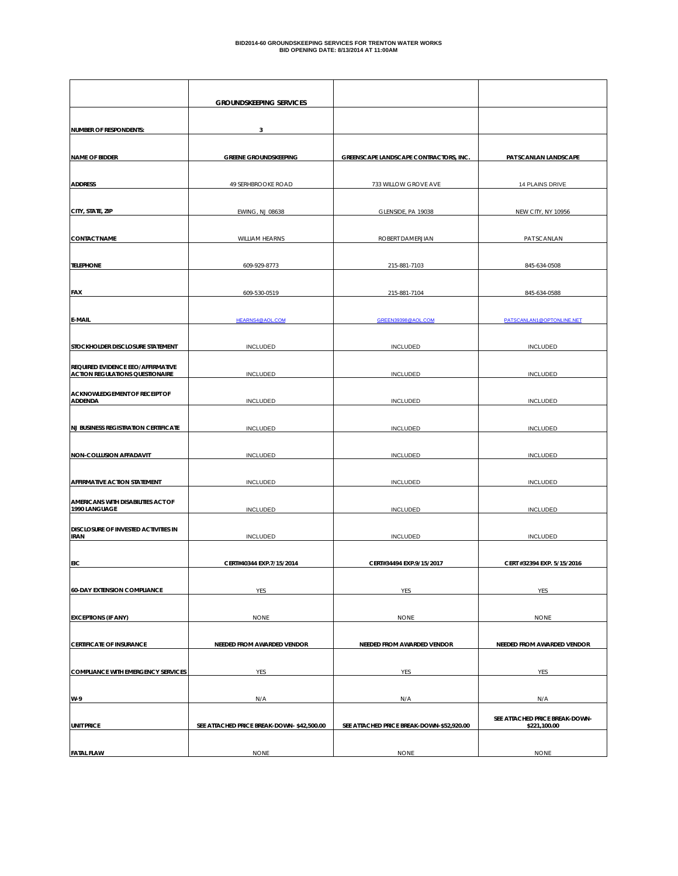|                                                                             | <b>GROUNDSKEEPING SERVICES</b>            |                                           |                                                |
|-----------------------------------------------------------------------------|-------------------------------------------|-------------------------------------------|------------------------------------------------|
| <b>NUMBER OF RESPONDENTS:</b>                                               | 3                                         |                                           |                                                |
|                                                                             |                                           |                                           |                                                |
| <b>NAME OF BIDDER</b>                                                       | <b>GREENE GROUNDSKEEPING</b>              | GREENSCAPE LANDSCAPE CONTRACTORS, INC.    | PAT SCANLAN LANDSCAPE                          |
| <b>ADDRESS</b>                                                              | 49 SERHBROOKE ROAD                        | 733 WILLOW GROVE AVE                      | 14 PLAINS DRIVE                                |
| CITY, STATE, ZIP                                                            | <b>EWING, NJ 08638</b>                    | GLENSIDE, PA 19038                        | NEW CITY, NY 10956                             |
| <b>CONTACT NAME</b>                                                         | WILLIAM HEARNS                            | ROBERT DAMERJIAN                          | PAT SCANLAN                                    |
| <b>TELEPHONE</b>                                                            | 609-929-8773                              | 215-881-7103                              | 845-634-0508                                   |
| FAX                                                                         | 609-530-0519                              | 215-881-7104                              | 845-634-0588                                   |
| E-MAIL                                                                      | HEARNS4@AOL.COM                           | GREEN39398@AOL.COM                        | PATSCANLAN1@OPTONLINE.NET                      |
| STOCKHOLDER DISCLOSURE STATEMENT                                            | <b>INCLUDED</b>                           | <b>INCLUDED</b>                           | <b>INCLUDED</b>                                |
| REQUIRED EVIDENCE EEO/AFFIRMATIVE<br><b>ACTION REGULATIONS QUESTIONAIRE</b> | <b>INCLUDED</b>                           | <b>INCLUDED</b>                           | <b>INCLUDED</b>                                |
| <b>ACKNOWLEDGEMENT OF RECEIPT OF</b><br><b>ADDENDA</b>                      | <b>INCLUDED</b>                           | <b>INCLUDED</b>                           | <b>INCLUDED</b>                                |
| <b>NJ BUSINESS REGISTRATION CERTIFICATE</b>                                 | <b>INCLUDED</b>                           | <b>INCLUDED</b>                           | <b>INCLUDED</b>                                |
| <b>NON-COLLUSION AFFADAVIT</b>                                              | <b>INCLUDED</b>                           | <b>INCLUDED</b>                           | <b>INCLUDED</b>                                |
| <b>AFFIRMATIVE ACTION STATEMENT</b>                                         | <b>INCLUDED</b>                           | INCLUDED                                  | <b>INCLUDED</b>                                |
| AMERICANS WITH DISABILITIES ACT OF<br>1990 LANGUAGE                         | <b>INCLUDED</b>                           | <b>INCLUDED</b>                           | <b>INCLUDED</b>                                |
| DISCLOSURE OF INVESTED ACTIVITIES IN<br><b>IRAN</b>                         | <b>INCLUDED</b>                           | <b>INCLUDED</b>                           | <b>INCLUDED</b>                                |
| <b>EIC</b>                                                                  | CERT#40344 EXP.7/15/2014                  | CERT#34494 EXP.9/15/2017                  | CERT #32394 EXP. 5/15/2016                     |
| <b>60-DAY EXTENSION COMPLIANCE</b>                                          | YES                                       | YES                                       | YES                                            |
|                                                                             |                                           |                                           |                                                |
| <b>EXCEPTIONS (IF ANY)</b>                                                  | <b>NONE</b>                               | <b>NONE</b>                               | <b>NONE</b>                                    |
| <b>CERTIFICATE OF INSURANCE</b>                                             | NEEDED FROM AWARDED VENDOR                | NEEDED FROM AWARDED VENDOR                | NEEDED FROM AWARDED VENDOR                     |
| <b>COMPLIANCE WITH EMERGENCY SERVICES</b>                                   | YES                                       | YES                                       | YES                                            |
| W-9                                                                         | N/A                                       | N/A                                       | N/A                                            |
| <b>UNIT PRICE</b>                                                           | SEE ATTACHED PRICE BREAK-DOWN-\$42,500.00 | SEE ATTACHED PRICE BREAK-DOWN-\$52,920.00 | SEE ATTACHED PRICE BREAK-DOWN-<br>\$221,100.00 |
| <b>FATAL FLAW</b>                                                           | <b>NONE</b>                               | <b>NONE</b>                               | <b>NONE</b>                                    |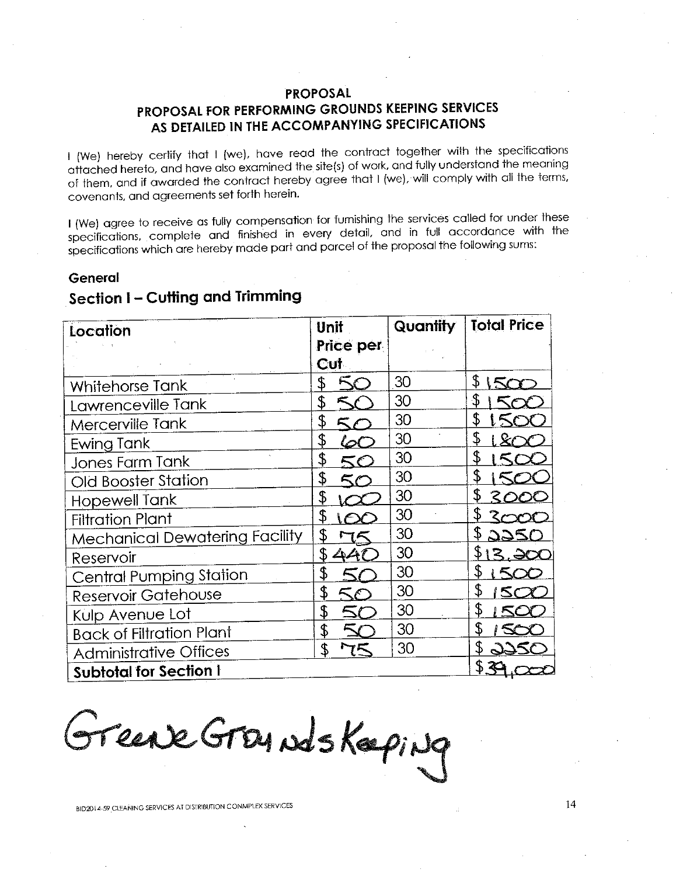### PROPOSAL

## PROPOSAL FOR PERFORMING GROUNDS KEEPING SERVICES AS DETAILED IN THE ACCOMPANYING SPECIFICATIONS

I (We) hereby certify that I (we), have read the contract together with the specifications attached hereto, and have also examined the site(s) of work, and fully understand the meaning of them, and if awarded the contract hereby agree that I (we), will comply with all the terms, covenants, and agreements set forth herein.

I (We) agree to receive as fully compensation for furnishing the services called for under these specifications, complete and finished in every detail, and in full accordance with the specifications which are hereby made part and parcel of the proposal the following sums:

#### General

# Section I - Cutting and Trimming

| Location                              | Unit                |    | <b>Total Price</b> |
|---------------------------------------|---------------------|----|--------------------|
|                                       | Price per           |    |                    |
|                                       | <b>Cut</b>          |    |                    |
| Whitehorse Tank                       | \$<br>$\sim$        | 30 | \$<br>15c          |
| Lawrenceville Tank                    | \$                  | 30 | \$                 |
| Mercerville Tank                      | \$                  | 30 | \$                 |
| Ewing Tank                            | \$                  | 30 | \$                 |
| <b>Jones Farm Tank</b>                | \$<br>ང∕            | 30 | £                  |
| <b>Old Booster Station</b>            | \$                  | 30 | \$                 |
| <b>Hopewell Tank</b>                  | \$                  | 30 | \$<br>300C         |
| <b>Filtration Plant</b>               | \$                  | 30 |                    |
| <b>Mechanical Dewatering Facility</b> | \$                  | 30 | 2250               |
| Reservoir                             | \$                  | 30 | 3. 20C             |
| <b>Central Pumping Station</b>        | \$                  | 30 |                    |
| <b>Reservoir Gatehouse</b>            | \$<br>$\mathcal{L}$ | 30 |                    |
| Kulp Avenue Lot                       | \$                  | 30 |                    |
| <b>Back of Filtration Plant</b>       | \$                  | 30 |                    |
| <b>Administrative Offices</b>         | \$                  | 30 |                    |
| <b>Subtotal for Section I</b>         |                     |    | \$ ≹               |

Grease Grandskaping

BID2014-59 CLEANING SERVICES AT DISTRIBUTION CONMPLEX SERVICES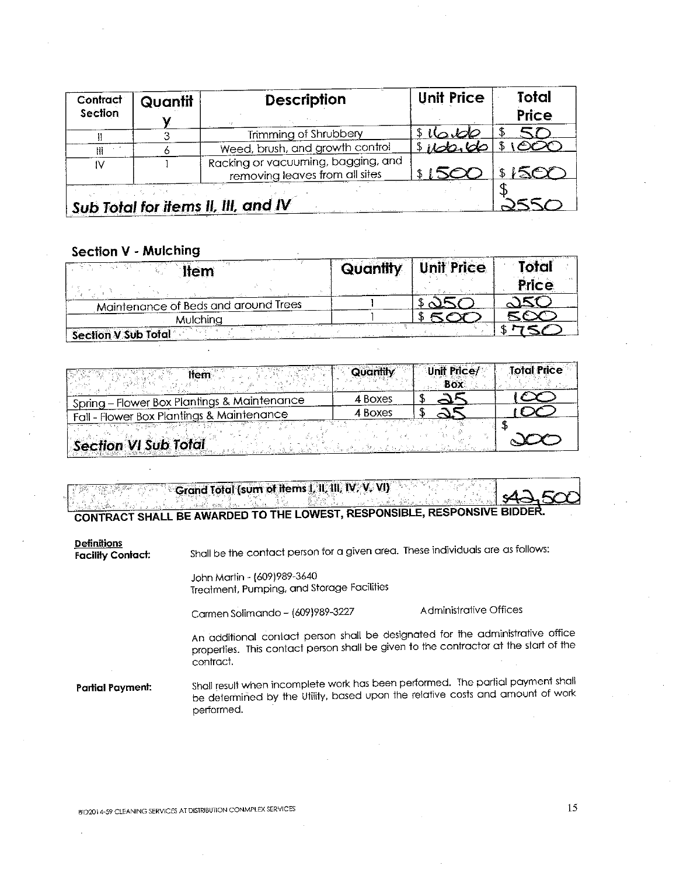| Contract<br>Section | Quantit | <b>Description</b>                                                   | <b>Unit Price</b> | <b>Total</b><br>Price |
|---------------------|---------|----------------------------------------------------------------------|-------------------|-----------------------|
|                     |         | Trimming of Shrubbery                                                | \$16.60           |                       |
| Ⅲ                   |         | Weed, brush, and growth control                                      | \$100.00          | \$1000                |
| I٧                  |         | Racking or vacuuming, bagging, and<br>removing leaves from all sites | 3150              | 1500                  |
|                     |         | Sub Total for items II, III, and IV                                  |                   |                       |

## **Section V - Mulching**

| ¶r≏m                                 | Quantity | <b>Unit Price</b> | otal<br><b>Price</b> |
|--------------------------------------|----------|-------------------|----------------------|
| Maintenance of Beds and around Trees |          |                   |                      |
| <b>Aulching</b>                      |          |                   |                      |
| <b>Section V Sub Total</b>           |          |                   |                      |

| <b>Hem</b>                                  | Quantity | <b>Unit Price/</b><br>Box | <b>Total Price</b> |
|---------------------------------------------|----------|---------------------------|--------------------|
| Spring - Flower Box Plantings & Maintenance | 4 Boxes  |                           |                    |
| Fall - Flower Box Plantings & Maintenance   | 4 Boxes  |                           |                    |
| <b>Section VI Sub Total</b>                 |          |                           |                    |

|  | CONTRACT SHALL BE AWARDED TO THE LOWEST, RESPONSIBLE, RESPONSIVE BIDDER. |  |  |  |  |
|--|--------------------------------------------------------------------------|--|--|--|--|
|  |                                                                          |  |  |  |  |
|  |                                                                          |  |  |  |  |
|  |                                                                          |  |  |  |  |
|  | Grand Total (sum of items I, II, III, IV, V, VI)                         |  |  |  |  |
|  |                                                                          |  |  |  |  |
|  |                                                                          |  |  |  |  |

#### **Definitions**

**Facility Contact:** 

Shall be the contact person for a given area. These individuals are as follows:

John Martin - (609)989-3640 Treatment, Pumping, and Storage Facilities

Carmen Solimando - (609)989-3227

Administrative Offices

An additional contact person shall be designated for the administrative office properties. This contact person shall be given to the contractor at the start of the contract.

Shall result when incomplete work has been performed. The partial payment shall **Partial Payment:** be determined by the Utility, based upon the relative costs and amount of work performed.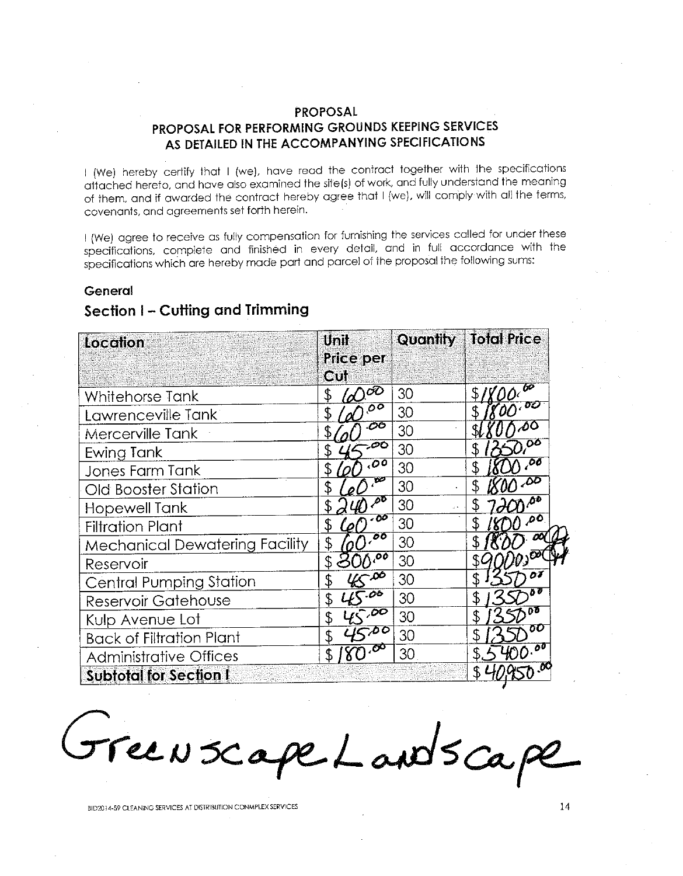## **PROPOSAL** PROPOSAL FOR PERFORMING GROUNDS KEEPING SERVICES AS DETAILED IN THE ACCOMPANYING SPECIFICATIONS

I (We) hereby certify that I (we), have read the contract together with the specifications attached hereto, and have also examined the site(s) of work, and fully understand the meaning of them, and if awarded the contract hereby agree that I (we), will comply with all the terms, covenants, and agreements set forth herein.

I (We) agree to receive as fully compensation for furnishing the services called for under these specifications, complete and finished in every detail, and in full accordance with the specifications which are hereby made part and parcel of the proposal the following sums:

### General

## Section I - Cutting and Trimming

| Location                              | Unit                                  | <b>Quantify</b> | <b>Total Price</b> |
|---------------------------------------|---------------------------------------|-----------------|--------------------|
|                                       | <b>Price per</b>                      |                 |                    |
|                                       | Gul                                   |                 |                    |
| Whitehorse Tank                       | ÖÕ<br>\$                              | 30              |                    |
| Lawrenceville Tank                    | $\overline{O}$                        | 30              |                    |
| Mercerville Tank                      | .06                                   | 30              |                    |
| Ewing Tank                            | ,00<br>\$                             | 30              | Ö٥                 |
| Jones Farm Tank                       | .00                                   | 30              | .OÖ                |
| Old Booster Station                   | ŦØ<br>\$                              | 30              | $\overline{50}$    |
| <b>Hopewell Tank</b>                  | $\bar{\rho} \bar{v}$                  | 30<br>a s       | ΔO                 |
| <b>Filtration Plant</b>               | $-00$<br>\$<br>$\boldsymbol{\varrho}$ | 30              | ەم<br>\$           |
| <b>Mechanical Dewatering Facility</b> | $\overline{00}$<br>\$                 | 30              |                    |
| Reservoir                             | ್ನಂಠಿ<br>\$                           | 30              | ĐÞ.                |
| <b>Central Pumping Station</b>        | خە∽<br>\$                             | 30              | 07                 |
| Reservoir Gatehouse                   | $-06$<br>\$                           | 30              | ðΰ                 |
| Kulp Avenue Lot                       | 1500<br>\$                            | 30              | nδ                 |
| <b>Back of Filtration Plant</b>       | $\overline{50}$<br>\$                 | 30              | OU                 |
| <b>Administrative Offices</b>         | <del>,ర</del> ా                       | 30              |                    |
| <b>Subtotal for Section I</b>         |                                       |                 |                    |

Free N Scape Landscape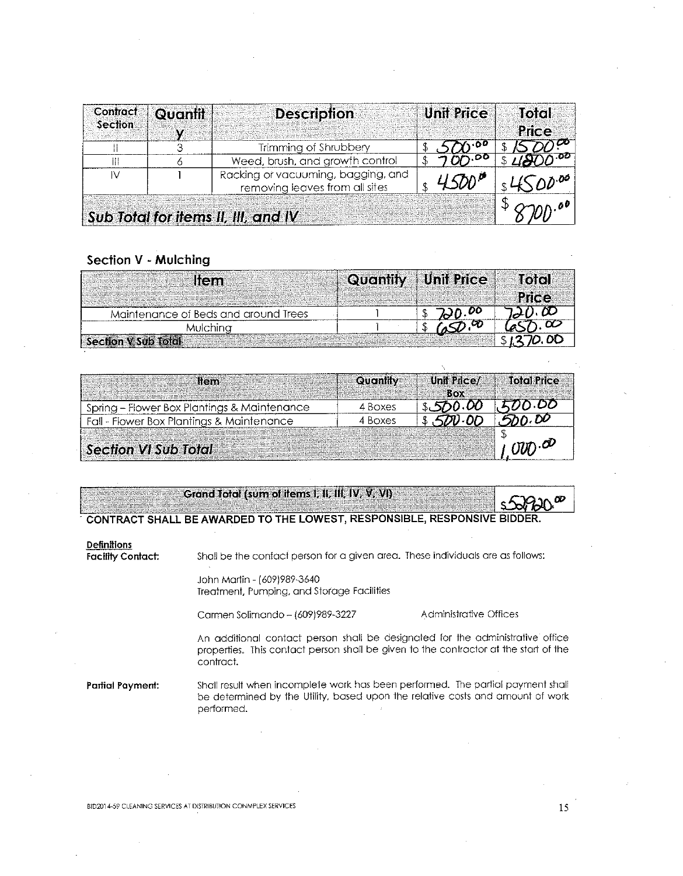| Contract<br>Section | Quantit | <b>Description</b>                                                   | <b>Unit Price</b> | Total<br>Price |
|---------------------|---------|----------------------------------------------------------------------|-------------------|----------------|
|                     |         | Trimming of Shrubbery                                                |                   |                |
|                     |         | Weed, brush, and growth control                                      | $\gamma$ .00      |                |
|                     |         | Racking or vacuuming, bagging, and<br>removing leaves from all sites |                   | /ገ∆ነ-00        |
|                     |         | Sub Total for items II, III, and IV                                  |                   |                |

## Section V - Mulching

| lien                                 | <b>Quantity Unit Price</b> | into <sup>r</sup> |
|--------------------------------------|----------------------------|-------------------|
|                                      |                            |                   |
| Maintenance of Beds and around Trees |                            |                   |
| Viulchina                            |                            |                   |
|                                      |                            |                   |
| Section V Sub Total                  |                            |                   |

| llem -                                      | <b>Quantity</b> | Unit Price/<br>$-$ Rox | <b>Total Price</b>          |
|---------------------------------------------|-----------------|------------------------|-----------------------------|
| Spring - Flower Box Plantings & Maintenance | 4 Boxes         |                        | 20.DD                       |
| Fall - Flower Box Plantings & Maintenance   | 4 Boxes         | חח נותר.               | - DD                        |
| Section VI Sub Total                        |                 |                        | $U$ <sub>U</sub> $\partial$ |

|                                                                          | Grand Total (sum of items I, II, III, IV, V, VI)                                                                                                                                    |                        |  |  |  |  |
|--------------------------------------------------------------------------|-------------------------------------------------------------------------------------------------------------------------------------------------------------------------------------|------------------------|--|--|--|--|
| CONTRACT SHALL BE AWARDED TO THE LOWEST, RESPONSIBLE, RESPONSIVE BIDDER. |                                                                                                                                                                                     |                        |  |  |  |  |
| Definitions<br><b>Facility Contact:</b>                                  | Shall be the contact person for a given area. These individuals are as follows:                                                                                                     |                        |  |  |  |  |
|                                                                          | John Martin - (609)989-3640<br>Treatment, Pumping, and Storage Facilities                                                                                                           |                        |  |  |  |  |
|                                                                          | Carmen Solimando - (609)989-3227                                                                                                                                                    | Administrative Offices |  |  |  |  |
|                                                                          | An additional contact person shall be designated for the administrative office<br>properties. This contact person shall be given to the contractor at the start of the<br>contract. |                        |  |  |  |  |
| Partial Payment:                                                         | Shall result when incomplete work has been performed. The partial payment shall<br>be determined by the Utility, based upon the relative costs and amount of work<br>performed.     |                        |  |  |  |  |

BID2014-59 CLEANING SERVICES AT DISTRIBUTION CONMPLEX SERVICES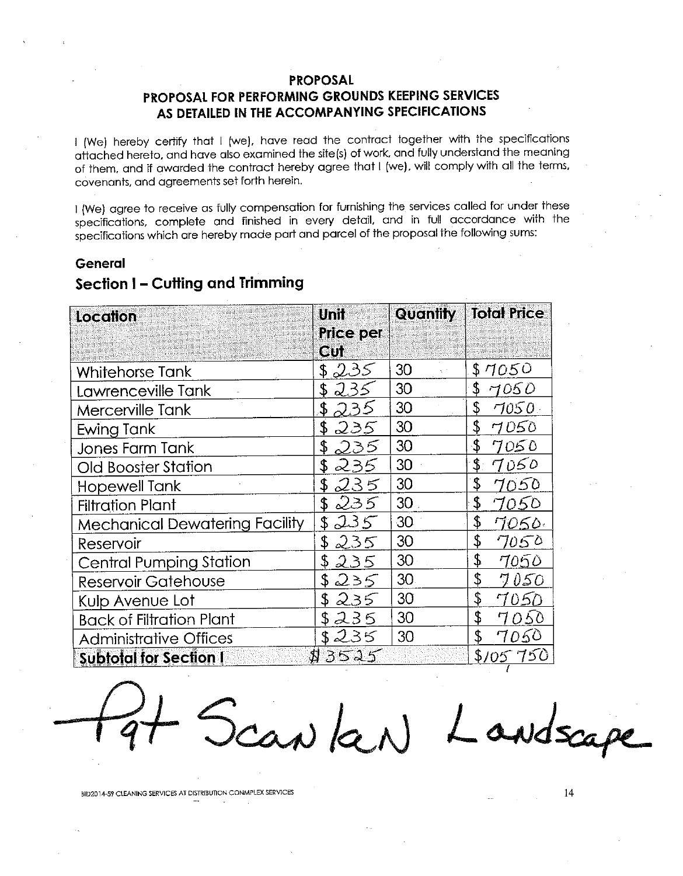## **PROPOSAL**

## PROPOSAL FOR PERFORMING GROUNDS KEEPING SERVICES AS DETAILED IN THE ACCOMPANYING SPECIFICATIONS

I (We) hereby certify that I (we), have read the contract together with the specifications attached hereto, and have also examined the site(s) of work, and fully understand the meaning of them, and if awarded the contract hereby agree that I (we), will comply with all the terms, covenants, and agreements set forth herein.

I (We) agree to receive as fully compensation for furnishing the services called for under these specifications, complete and finished in every detail, and in full accordance with the specifications which are hereby made part and parcel of the proposal the following sums:

#### General

| <b>Location</b>                       | <b>Unit</b>      | <b>Quantity</b> | <b>Total Price</b> |
|---------------------------------------|------------------|-----------------|--------------------|
|                                       | <b>Price per</b> |                 |                    |
|                                       | Cul              |                 |                    |
| Whitehorse Tank                       | \$235            | 30              | \$7050             |
| Lawrenceville Tank                    | 235<br>\$        | 30              | \$<br>7050         |
| Mercerville Tank                      | 235              | 30              | \$<br>7050.        |
| Ewing Tank                            | 235<br>\$        | 30              | \$<br>7050         |
| Jones Farm Tank                       | \$<br>235.       | 30              | $\cdot$<br>7050    |
| Old Booster Station                   | \$<br>235        | 30              | \$.<br>7050        |
| Hopewell Tank                         | \$<br>235        | 30              | \$<br>7050         |
| <b>Filtration Plant</b>               | 235<br>\$        | 30              | \$<br>7050         |
| <b>Mechanical Dewatering Facility</b> | 235<br>\$.       | 30              | \$<br>7050.        |
| Reservoir                             | 235<br>\$        | 30              | \$<br>7050         |
| <b>Central Pumping Station</b>        | \$<br>235        | 30              | \$<br>7050         |
| <b>Reservoir Gatehouse</b>            | 235<br>\$        | 30              | \$<br><i>I</i> 050 |
| Kulp Avenue Lot                       | 235<br>\$        | 30              | \$<br>7050         |
| <b>Back of Filtration Plant</b>       | 235<br>\$        | 30              | \$<br>7050         |
| <b>Administrative Offices</b>         | \$235            | 30              | \$<br>7050         |
| <b>Subtotal for Section I</b>         | <b>B</b> 3525    |                 | \$105.750          |

# Section I - Cutting and Trimming

Scan Ken) Londscape

BID2014-59 CLEANING SERVICES AT DISTRIBUTION CONMPLEX SERVICES